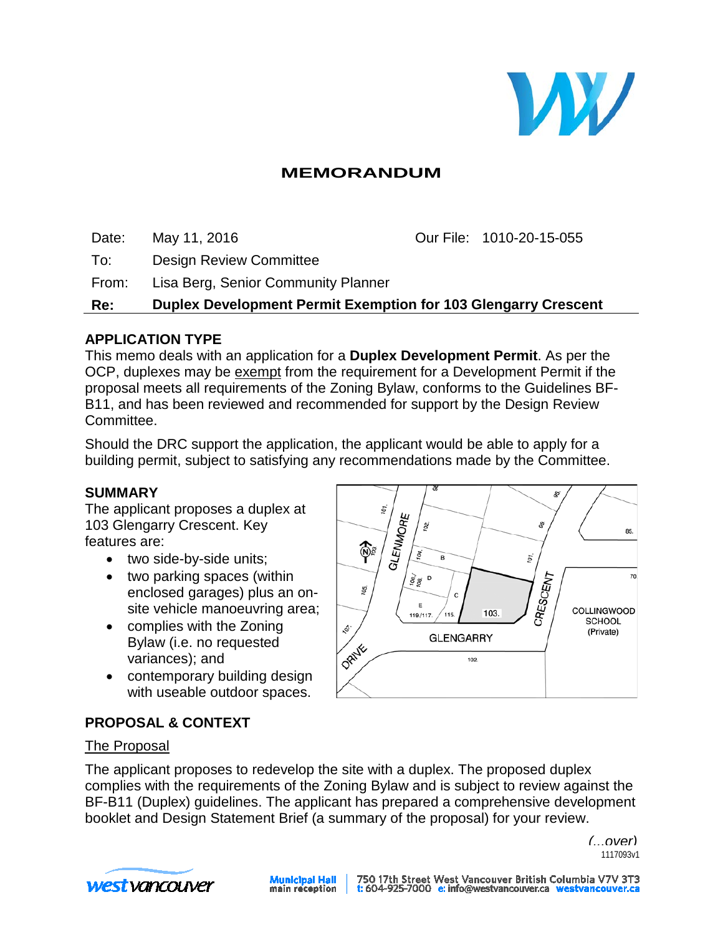

# **MEMORANDUM**

Date: May 11, 2016 Our File: 1010-20-15-055

To: Design Review Committee

From: Lisa Berg, Senior Community Planner

**Re: Duplex Development Permit Exemption for 103 Glengarry Crescent**

### **APPLICATION TYPE**

This memo deals with an application for a **Duplex Development Permit**. As per the OCP, duplexes may be exempt from the requirement for a Development Permit if the proposal meets all requirements of the Zoning Bylaw, conforms to the Guidelines BF-B11, and has been reviewed and recommended for support by the Design Review Committee.

Should the DRC support the application, the applicant would be able to apply for a building permit, subject to satisfying any recommendations made by the Committee.

### **SUMMARY**

The applicant proposes a duplex at 103 Glengarry Crescent. Key features are:

- two side-by-side units;
- two parking spaces (within enclosed garages) plus an onsite vehicle manoeuvring area;
- complies with the Zoning Bylaw (i.e. no requested variances); and
- contemporary building design with useable outdoor spaces.



### **PROPOSAL & CONTEXT**

### The Proposal

The applicant proposes to redevelop the site with a duplex. The proposed duplex complies with the requirements of the Zoning Bylaw and is subject to review against the BF-B11 (Duplex) guidelines. The applicant has prepared a comprehensive development booklet and Design Statement Brief (a summary of the proposal) for your review.

> *(...over)* 1117093v1



**Municipal Hall**<br>main reception